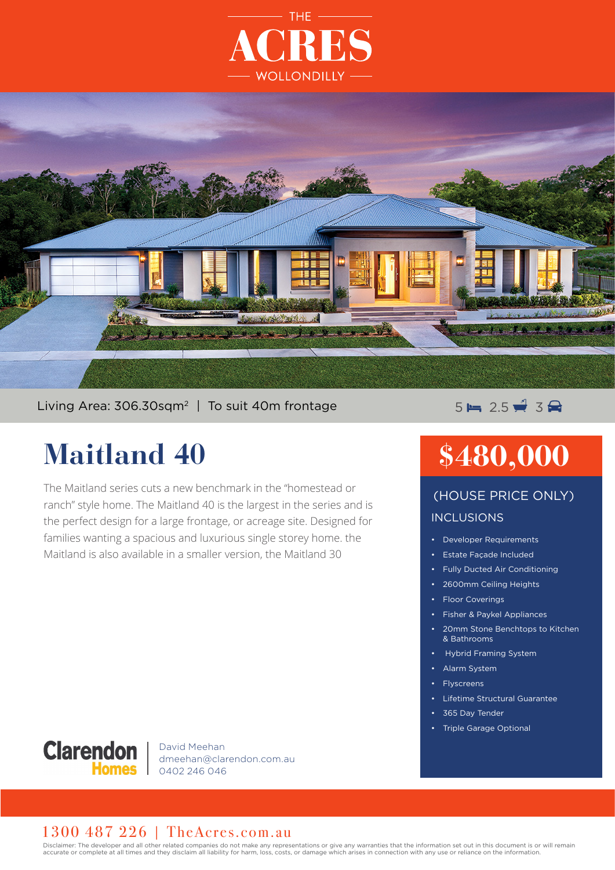



#### Living Area: 306.30sqm<sup>2</sup> | To suit 40m frontage  $5 = 5 = 2.5$   $\neq 3$

### **Maitland 40**

The Maitland series cuts a new benchmark in the "homestead or ranch" style home. The Maitland 40 is the largest in the series and is the perfect design for a large frontage, or acreage site. Designed for families wanting a spacious and luxurious single storey home. the Maitland is also available in a smaller version, the Maitland 30

## **\$480,000**

#### INCLUSIONS (HOUSE PRICE ONLY)

- Developer Requirements
- Estate Façade Included
- Fully Ducted Air Conditioning
- 2600mm Ceiling Heights
- Floor Coverings
- Fisher & Paykel Appliances
- 20mm Stone Benchtops to Kitchen & Bathrooms
- Hybrid Framing System
- Alarm System
- **Flyscreens**
- Lifetime Structural Guarantee
- 365 Day Tender
- Triple Garage Optional



David Meehan dmeehan@clarendon.com.au 0402 246 046

#### 1300 487 226 | TheAcres.com.au

Disclaimer: The developer and all other related companies do not make any representations or give any warranties that the information set out in this document is or will remain accurate or complete at all times and they disclaim all liability for harm, loss, costs, or damage which arises in connection with any use or reliance on the information.